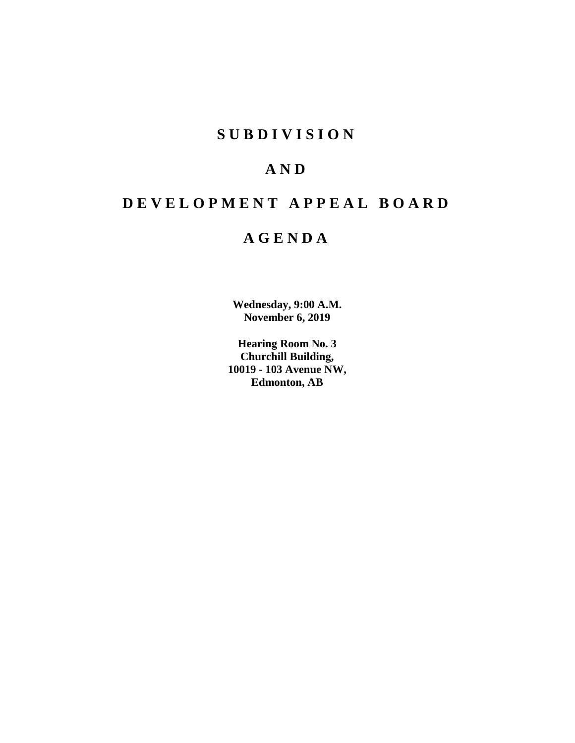# **SUBDIVISION**

# **AND**

# **DEVELOPMENT APPEAL BOARD**

# **AGENDA**

**Wednesday, 9:00 A.M. November 6, 2019**

**Hearing Room No. 3 Churchill Building, 10019 - 103 Avenue NW, Edmonton, AB**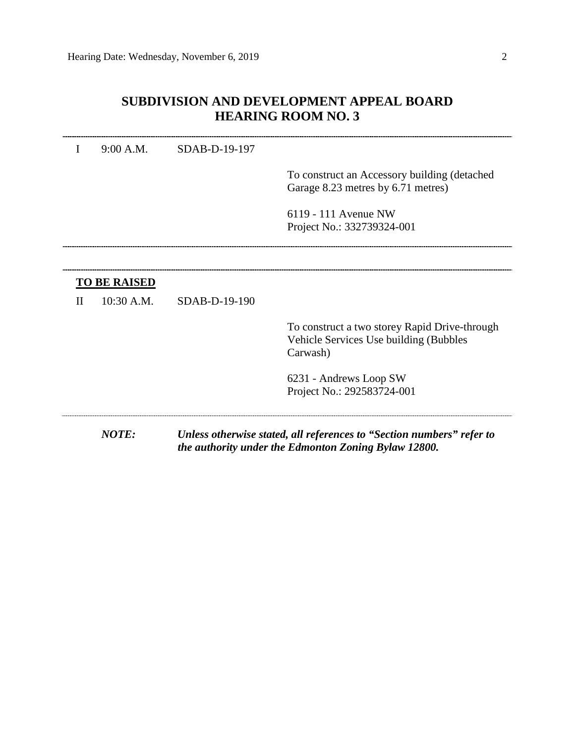# **SUBDIVISION AND DEVELOPMENT APPEAL BOARD HEARING ROOM NO. 3**

## I 9:00 A.M. SDAB-D-19-197

To construct an Accessory building (detached Garage 8.23 metres by 6.71 metres)

6119 - 111 Avenue NW Project No.: 332739324-001

II 10:30 A.M. SDAB-D-19-190

To construct a two storey Rapid Drive-through Vehicle Services Use building (Bubbles Carwash)

6231 - Andrews Loop SW Project No.: 292583724-001

*NOTE: Unless otherwise stated, all references to "Section numbers" refer to the authority under the Edmonton Zoning Bylaw 12800.*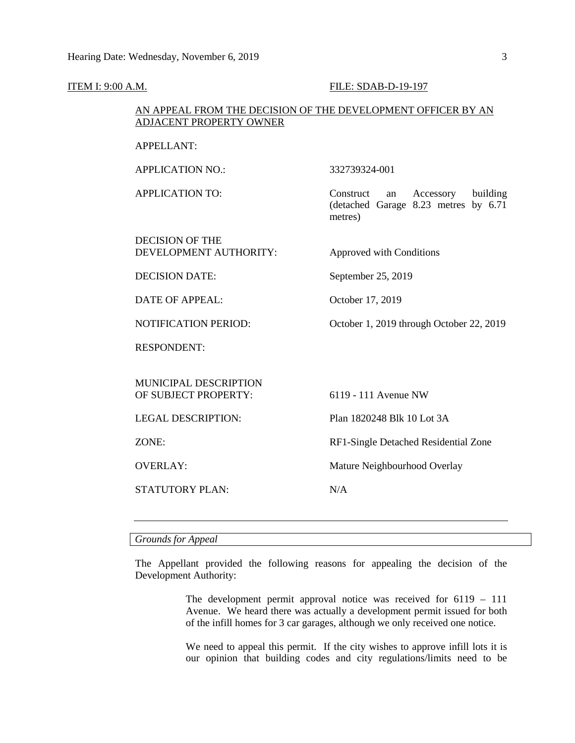#### **ITEM I: 9:00 A.M. FILE: SDAB-D-19-197**

# AN APPEAL FROM THE DECISION OF THE DEVELOPMENT OFFICER BY AN ADJACENT PROPERTY OWNER

APPELLANT:

APPLICATION NO.: 332739324-001

APPLICATION TO: Construct an Accessory building (detached Garage 8.23 metres by 6.71 metres)

DECISION OF THE DEVELOPMENT AUTHORITY: Approved with Conditions

DECISION DATE: September 25, 2019

DATE OF APPEAL: October 17, 2019

NOTIFICATION PERIOD: October 1, 2019 through October 22, 2019

RESPONDENT:

MUNICIPAL DESCRIPTION OF SUBJECT PROPERTY: 6119 - 111 Avenue NW

STATUTORY PLAN: N/A

LEGAL DESCRIPTION: Plan 1820248 Blk 10 Lot 3A

ZONE: RF1-Single Detached Residential Zone

OVERLAY: Mature Neighbourhood Overlay

*Grounds for Appeal*

The Appellant provided the following reasons for appealing the decision of the Development Authority:

> The development permit approval notice was received for 6119 – 111 Avenue. We heard there was actually a development permit issued for both of the infill homes for 3 car garages, although we only received one notice.

> We need to appeal this permit. If the city wishes to approve infill lots it is our opinion that building codes and city regulations/limits need to be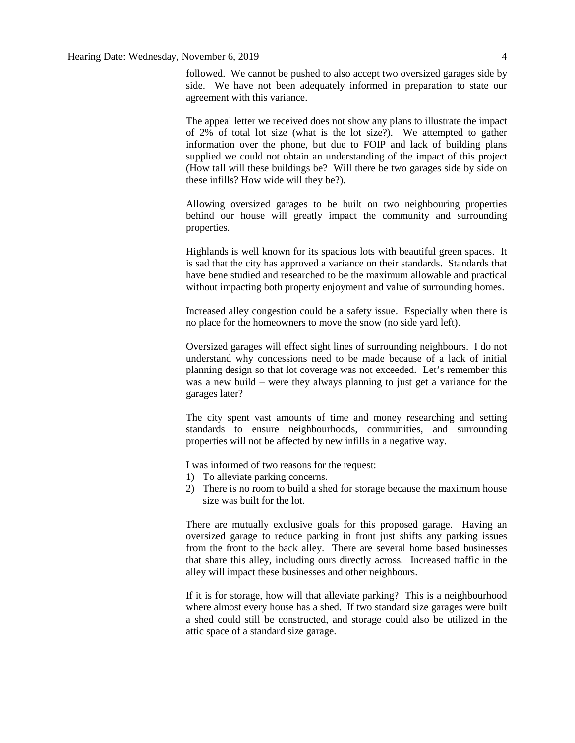followed. We cannot be pushed to also accept two oversized garages side by side. We have not been adequately informed in preparation to state our agreement with this variance.

The appeal letter we received does not show any plans to illustrate the impact of 2% of total lot size (what is the lot size?). We attempted to gather information over the phone, but due to FOIP and lack of building plans supplied we could not obtain an understanding of the impact of this project (How tall will these buildings be? Will there be two garages side by side on these infills? How wide will they be?).

Allowing oversized garages to be built on two neighbouring properties behind our house will greatly impact the community and surrounding properties.

Highlands is well known for its spacious lots with beautiful green spaces. It is sad that the city has approved a variance on their standards. Standards that have bene studied and researched to be the maximum allowable and practical without impacting both property enjoyment and value of surrounding homes.

Increased alley congestion could be a safety issue. Especially when there is no place for the homeowners to move the snow (no side yard left).

Oversized garages will effect sight lines of surrounding neighbours. I do not understand why concessions need to be made because of a lack of initial planning design so that lot coverage was not exceeded. Let's remember this was a new build – were they always planning to just get a variance for the garages later?

The city spent vast amounts of time and money researching and setting standards to ensure neighbourhoods, communities, and surrounding properties will not be affected by new infills in a negative way.

I was informed of two reasons for the request:

- 1) To alleviate parking concerns.
- 2) There is no room to build a shed for storage because the maximum house size was built for the lot.

There are mutually exclusive goals for this proposed garage. Having an oversized garage to reduce parking in front just shifts any parking issues from the front to the back alley. There are several home based businesses that share this alley, including ours directly across. Increased traffic in the alley will impact these businesses and other neighbours.

If it is for storage, how will that alleviate parking? This is a neighbourhood where almost every house has a shed. If two standard size garages were built a shed could still be constructed, and storage could also be utilized in the attic space of a standard size garage.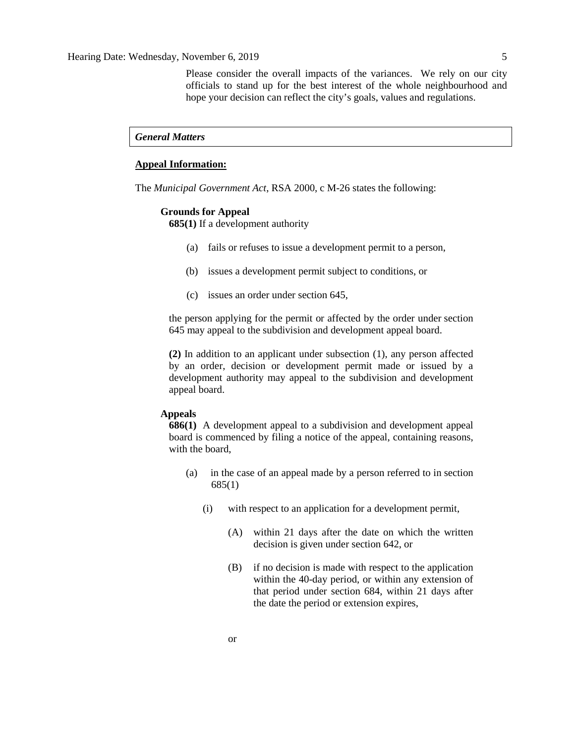Please consider the overall impacts of the variances. We rely on our city officials to stand up for the best interest of the whole neighbourhood and hope your decision can reflect the city's goals, values and regulations.

## *General Matters*

# **Appeal Information:**

The *Municipal Government Act*, RSA 2000, c M-26 states the following:

#### **Grounds for Appeal**

**685(1)** If a development authority

- (a) fails or refuses to issue a development permit to a person,
- (b) issues a development permit subject to conditions, or
- (c) issues an order under section 645,

the person applying for the permit or affected by the order under section 645 may appeal to the subdivision and development appeal board.

**(2)** In addition to an applicant under subsection (1), any person affected by an order, decision or development permit made or issued by a development authority may appeal to the subdivision and development appeal board.

# **Appeals**

**686(1)** A development appeal to a subdivision and development appeal board is commenced by filing a notice of the appeal, containing reasons, with the board,

- (a) in the case of an appeal made by a person referred to in section 685(1)
	- (i) with respect to an application for a development permit,
		- (A) within 21 days after the date on which the written decision is given under section 642, or
		- (B) if no decision is made with respect to the application within the 40-day period, or within any extension of that period under section 684, within 21 days after the date the period or extension expires,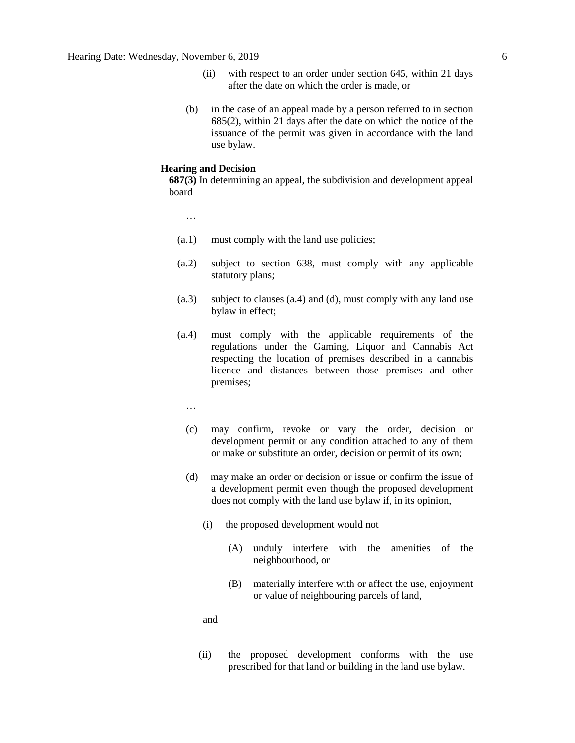- (ii) with respect to an order under section 645, within 21 days after the date on which the order is made, or
- (b) in the case of an appeal made by a person referred to in section 685(2), within 21 days after the date on which the notice of the issuance of the permit was given in accordance with the land use bylaw.

#### **Hearing and Decision**

**687(3)** In determining an appeal, the subdivision and development appeal board

…

- (a.1) must comply with the land use policies;
- (a.2) subject to section 638, must comply with any applicable statutory plans;
- (a.3) subject to clauses (a.4) and (d), must comply with any land use bylaw in effect;
- (a.4) must comply with the applicable requirements of the regulations under the Gaming, Liquor and Cannabis Act respecting the location of premises described in a cannabis licence and distances between those premises and other premises;

…

- (c) may confirm, revoke or vary the order, decision or development permit or any condition attached to any of them or make or substitute an order, decision or permit of its own;
- (d) may make an order or decision or issue or confirm the issue of a development permit even though the proposed development does not comply with the land use bylaw if, in its opinion,
	- (i) the proposed development would not
		- (A) unduly interfere with the amenities of the neighbourhood, or
		- (B) materially interfere with or affect the use, enjoyment or value of neighbouring parcels of land,

and

(ii) the proposed development conforms with the use prescribed for that land or building in the land use bylaw.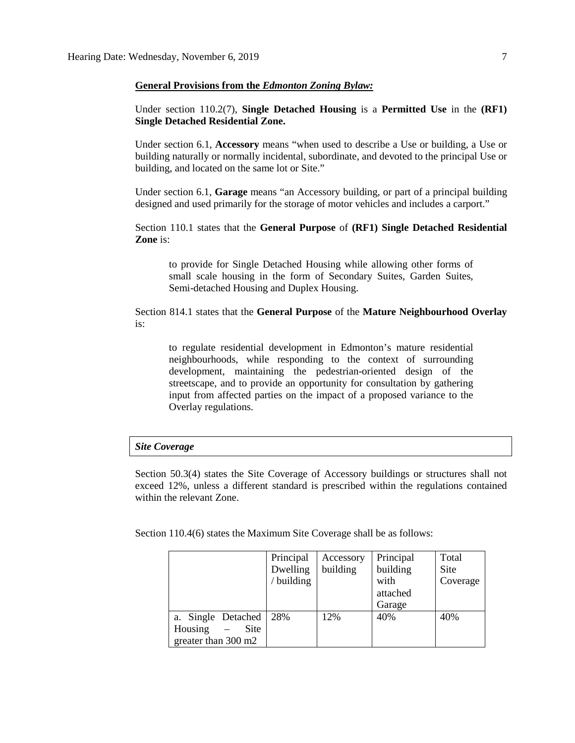#### **General Provisions from the** *Edmonton Zoning Bylaw:*

Under section 110.2(7), **Single Detached Housing** is a **Permitted Use** in the **(RF1) Single Detached Residential Zone.**

Under section 6.1, **Accessory** means "when used to describe a Use or building, a Use or building naturally or normally incidental, subordinate, and devoted to the principal Use or building, and located on the same lot or Site."

Under section 6.1, **Garage** means "an Accessory building, or part of a principal building designed and used primarily for the storage of motor vehicles and includes a carport."

Section 110.1 states that the **General Purpose** of **(RF1) Single Detached Residential Zone** is:

to provide for Single Detached Housing while allowing other forms of small scale housing in the form of Secondary Suites, Garden Suites, Semi-detached Housing and Duplex Housing.

Section 814.1 states that the **General Purpose** of the **Mature Neighbourhood Overlay** is:

to regulate residential development in Edmonton's mature residential neighbourhoods, while responding to the context of surrounding development, maintaining the pedestrian-oriented design of the streetscape, and to provide an opportunity for consultation by gathering input from affected parties on the impact of a proposed variance to the Overlay regulations.

## *Site Coverage*

Section 50.3(4) states the Site Coverage of Accessory buildings or structures shall not exceed 12%, unless a different standard is prescribed within the regulations contained within the relevant Zone.

Section 110.4(6) states the Maximum Site Coverage shall be as follows:

|                     | Principal | Accessory | Principal | Total    |
|---------------------|-----------|-----------|-----------|----------|
|                     | Dwelling  | building  | building  | Site     |
|                     | building  |           | with      | Coverage |
|                     |           |           | attached  |          |
|                     |           |           | Garage    |          |
| a. Single Detached  | 28%       | 12%       | 40%       | 40%      |
| Housing<br>Site     |           |           |           |          |
| greater than 300 m2 |           |           |           |          |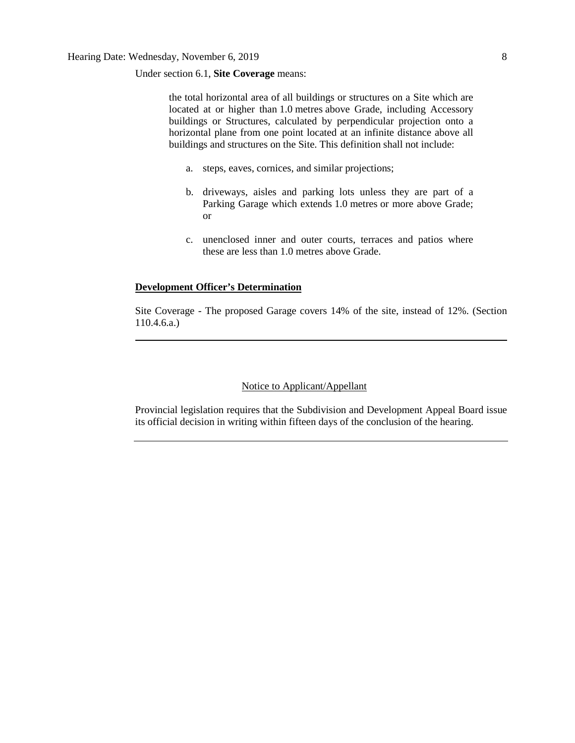Under section 6.1, **Site Coverage** means:

the total horizontal area of all buildings or structures on a Site which are located at or higher than [1.0](javascript:void(0);) metres above Grade, including Accessory buildings or Structures, calculated by perpendicular projection onto a horizontal plane from one point located at an infinite distance above all buildings and structures on the Site. This definition shall not include:

- a. steps, eaves, cornices, and similar projections;
- b. driveways, aisles and parking lots unless they are part of a Parking Garage which extends [1.0](javascript:void(0);) metres or more above Grade; or
- c. unenclosed inner and outer courts, terraces and patios where these are less than [1.0](javascript:void(0);) metres above Grade.

#### **Development Officer's Determination**

Site Coverage - The proposed Garage covers 14% of the site, instead of 12%. (Section 110.4.6.a.)

# Notice to Applicant/Appellant

Provincial legislation requires that the Subdivision and Development Appeal Board issue its official decision in writing within fifteen days of the conclusion of the hearing.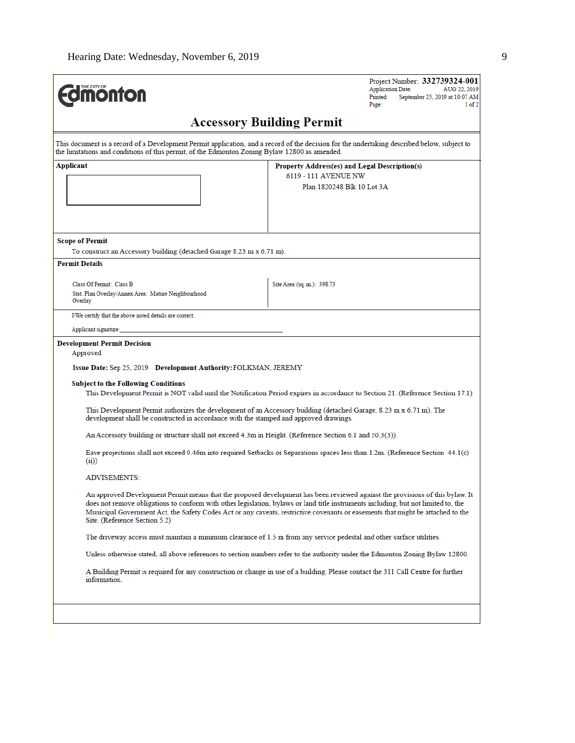| <b><i><u>Monton</u></i></b>                                                                                                                                     | Project Number: 332739324-001<br><b>Application Date:</b><br>AUG 22, 2019<br>Printed:<br>September 25, 2019 at 10:07 AM<br>Page:<br>1 of 2                                                                                                                                                                                                                                                             |
|-----------------------------------------------------------------------------------------------------------------------------------------------------------------|--------------------------------------------------------------------------------------------------------------------------------------------------------------------------------------------------------------------------------------------------------------------------------------------------------------------------------------------------------------------------------------------------------|
|                                                                                                                                                                 | <b>Accessory Building Permit</b>                                                                                                                                                                                                                                                                                                                                                                       |
| the limitations and conditions of this permit, of the Edmonton Zoning Bylaw 12800 as amended.                                                                   | This document is a record of a Development Permit application, and a record of the decision for the undertaking described below, subject to                                                                                                                                                                                                                                                            |
| Applicant                                                                                                                                                       | Property Address(es) and Legal Description(s)<br>6119 - 111 AVENUE NW<br>Plan 1820248 Blk 10 Lot 3A                                                                                                                                                                                                                                                                                                    |
| <b>Scope of Permit</b><br>To construct an Accessory building (detached Garage 8.23 m x 6.71 m).                                                                 |                                                                                                                                                                                                                                                                                                                                                                                                        |
| <b>Permit Details</b>                                                                                                                                           |                                                                                                                                                                                                                                                                                                                                                                                                        |
| Class Of Permit: Class B<br>Stat. Plan Overlay/Annex Area: Mature Neighbourhood<br>Overlay                                                                      | Site Area (sq. m.): 398.73                                                                                                                                                                                                                                                                                                                                                                             |
| I/We certify that the above noted details are correct.                                                                                                          |                                                                                                                                                                                                                                                                                                                                                                                                        |
| Applicant signature:                                                                                                                                            |                                                                                                                                                                                                                                                                                                                                                                                                        |
| <b>Development Permit Decision</b><br>Approved<br>Issue Date: Sep 25, 2019 Development Authority: FOLKMAN, JEREMY<br><b>Subject to the Following Conditions</b> |                                                                                                                                                                                                                                                                                                                                                                                                        |
|                                                                                                                                                                 | This Development Permit is NOT valid until the Notification Period expires in accordance to Section 21. (Reference Section 17.1)                                                                                                                                                                                                                                                                       |
| development shall be constructed in accordance with the stamped and approved drawings.                                                                          | This Development Permit authorizes the development of an Accessory building (detached Garage, 8.23 m x 6.71 m). The                                                                                                                                                                                                                                                                                    |
| An Accessory building or structure shall not exceed 4.3m in Height. (Reference Section 6.1 and 50.3(3)).                                                        |                                                                                                                                                                                                                                                                                                                                                                                                        |
| (i)                                                                                                                                                             | Eave projections shall not exceed 0.46m into required Setbacks or Separations spaces less than 1.2m. (Reference Section 44.1(c)                                                                                                                                                                                                                                                                        |
| <b>ADVISEMENTS:</b>                                                                                                                                             |                                                                                                                                                                                                                                                                                                                                                                                                        |
| Site. (Reference Section 5.2)                                                                                                                                   | An approved Development Permit means that the proposed development has been reviewed against the provisions of this bylaw. It<br>does not remove obligations to conform with other legislation, bylaws or land title instruments including, but not limited to, the<br>Municipal Government Act, the Safety Codes Act or any caveats, restrictive covenants or easements that might be attached to the |
|                                                                                                                                                                 | The driveway access must maintain a minimum clearance of 1.5 m from any service pedestal and other surface utilities.                                                                                                                                                                                                                                                                                  |
|                                                                                                                                                                 | Unless otherwise stated, all above references to section numbers refer to the authority under the Edmonton Zoning Bylaw 12800.                                                                                                                                                                                                                                                                         |
| information.                                                                                                                                                    | A Building Permit is required for any construction or change in use of a building. Please contact the 311 Call Centre for further                                                                                                                                                                                                                                                                      |
|                                                                                                                                                                 |                                                                                                                                                                                                                                                                                                                                                                                                        |
|                                                                                                                                                                 |                                                                                                                                                                                                                                                                                                                                                                                                        |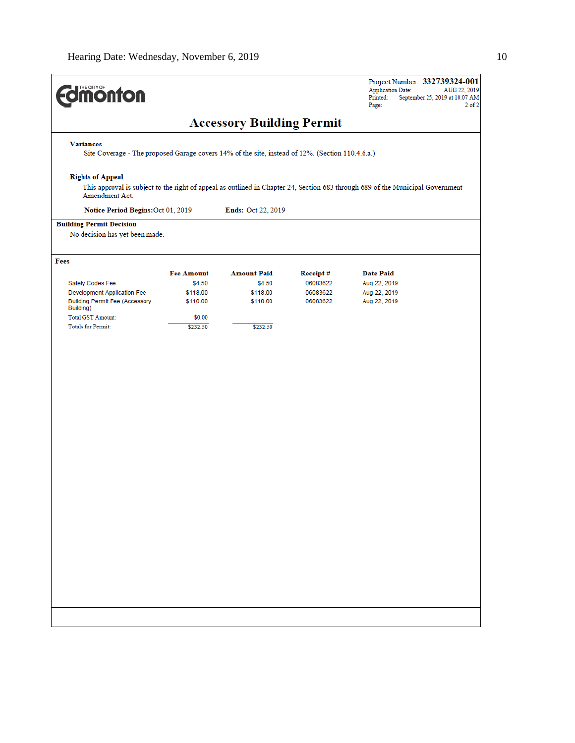| <b>differential de la partie de la partie de la partie de la partie de la partie de la partie de la partie de la</b> |                      |                                  |                      | Project Number: 332739324-001<br><b>Application Date:</b><br>AUG 22, 2019<br>Printed:<br>September 25, 2019 at 10:07 AM<br>Page:<br>$2$ of $2$ |
|----------------------------------------------------------------------------------------------------------------------|----------------------|----------------------------------|----------------------|------------------------------------------------------------------------------------------------------------------------------------------------|
|                                                                                                                      |                      | <b>Accessory Building Permit</b> |                      |                                                                                                                                                |
| <b>Variances</b>                                                                                                     |                      |                                  |                      |                                                                                                                                                |
| Site Coverage - The proposed Garage covers 14% of the site, instead of 12%. (Section 110.4.6.a.)                     |                      |                                  |                      |                                                                                                                                                |
| <b>Rights of Appeal</b><br>Amendment Act.                                                                            |                      |                                  |                      | This approval is subject to the right of appeal as outlined in Chapter 24, Section 683 through 689 of the Municipal Government                 |
| Notice Period Begins: Oct 01, 2019                                                                                   |                      | Ends: Oct 22, 2019               |                      |                                                                                                                                                |
| <b>Building Permit Decision</b><br>No decision has yet been made.                                                    |                      |                                  |                      |                                                                                                                                                |
| Fees                                                                                                                 |                      |                                  |                      |                                                                                                                                                |
|                                                                                                                      | <b>Fee Amount</b>    | <b>Amount Paid</b>               | Receipt#             | <b>Date Paid</b>                                                                                                                               |
| Safety Codes Fee                                                                                                     | \$4.50               | \$4.50                           | 06083622             | Aug 22, 2019                                                                                                                                   |
| Development Application Fee<br><b>Building Permit Fee (Accessory</b>                                                 | \$118.00<br>\$110.00 | \$118.00<br>\$110.00             | 06083622<br>06083622 | Aug 22, 2019<br>Aug 22, 2019                                                                                                                   |
| Building)                                                                                                            |                      |                                  |                      |                                                                                                                                                |
| <b>Total GST Amount:</b>                                                                                             | \$0.00               |                                  |                      |                                                                                                                                                |
| <b>Totals for Permit:</b>                                                                                            | \$232.50             | \$232.50                         |                      |                                                                                                                                                |
|                                                                                                                      |                      |                                  |                      |                                                                                                                                                |
|                                                                                                                      |                      |                                  |                      |                                                                                                                                                |
|                                                                                                                      |                      |                                  |                      |                                                                                                                                                |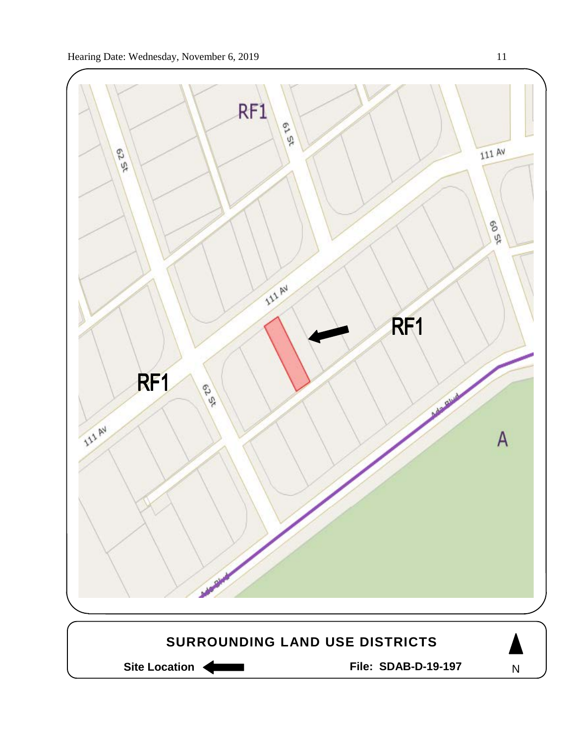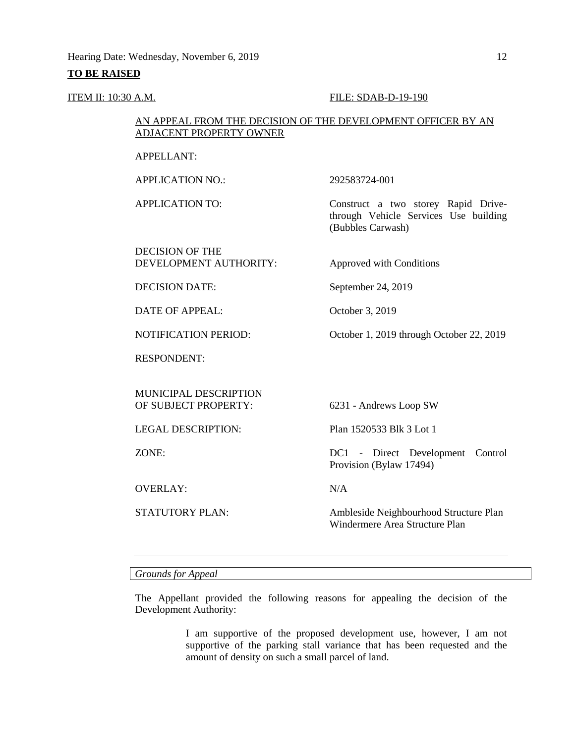## **TO BE RAISED**

## **ITEM II:** 10:30 A.M. **FILE:** SDAB-D-19-190

# AN APPEAL FROM THE DECISION OF THE DEVELOPMENT OFFICER BY AN ADJACENT PROPERTY OWNER

APPELLANT:

APPLICATION NO.: 292583724-001

DECISION OF THE DEVELOPMENT AUTHORITY: Approved with Conditions

APPLICATION TO: Construct a two storey Rapid Drivethrough Vehicle Services Use building (Bubbles Carwash)

DECISION DATE: September 24, 2019

DATE OF APPEAL: October 3, 2019

NOTIFICATION PERIOD: October 1, 2019 through October 22, 2019

RESPONDENT:

MUNICIPAL DESCRIPTION<br>OF SUBJECT PROPERTY:

OVERLAY: N/A

6231 - Andrews Loop SW

LEGAL DESCRIPTION: Plan 1520533 Blk 3 Lot 1

ZONE: DC1 - Direct Development Control Provision (Bylaw 17494)

STATUTORY PLAN: Ambleside Neighbourhood Structure Plan Windermere Area Structure Plan

*Grounds for Appeal*

The Appellant provided the following reasons for appealing the decision of the Development Authority:

> I am supportive of the proposed development use, however, I am not supportive of the parking stall variance that has been requested and the amount of density on such a small parcel of land.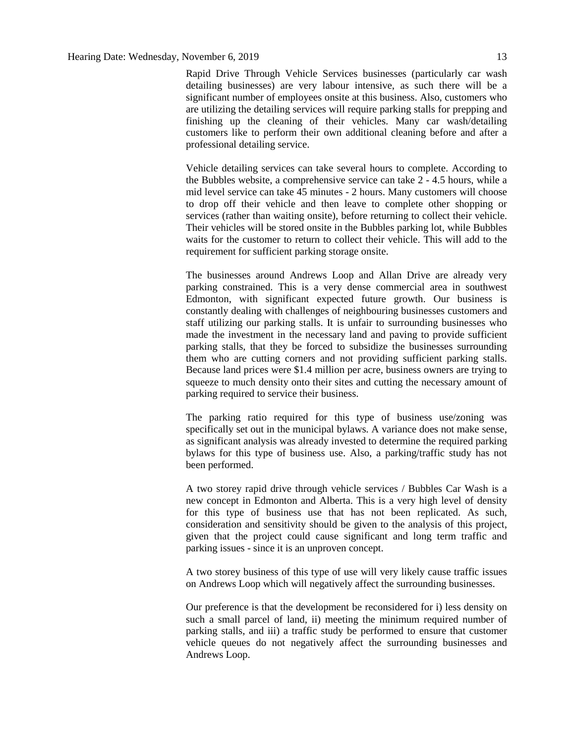Rapid Drive Through Vehicle Services businesses (particularly car wash detailing businesses) are very labour intensive, as such there will be a significant number of employees onsite at this business. Also, customers who are utilizing the detailing services will require parking stalls for prepping and finishing up the cleaning of their vehicles. Many car wash/detailing customers like to perform their own additional cleaning before and after a professional detailing service.

Vehicle detailing services can take several hours to complete. According to the Bubbles website, a comprehensive service can take 2 - 4.5 hours, while a mid level service can take 45 minutes - 2 hours. Many customers will choose to drop off their vehicle and then leave to complete other shopping or services (rather than waiting onsite), before returning to collect their vehicle. Their vehicles will be stored onsite in the Bubbles parking lot, while Bubbles waits for the customer to return to collect their vehicle. This will add to the requirement for sufficient parking storage onsite.

The businesses around Andrews Loop and Allan Drive are already very parking constrained. This is a very dense commercial area in southwest Edmonton, with significant expected future growth. Our business is constantly dealing with challenges of neighbouring businesses customers and staff utilizing our parking stalls. It is unfair to surrounding businesses who made the investment in the necessary land and paving to provide sufficient parking stalls, that they be forced to subsidize the businesses surrounding them who are cutting corners and not providing sufficient parking stalls. Because land prices were \$1.4 million per acre, business owners are trying to squeeze to much density onto their sites and cutting the necessary amount of parking required to service their business.

The parking ratio required for this type of business use/zoning was specifically set out in the municipal bylaws. A variance does not make sense, as significant analysis was already invested to determine the required parking bylaws for this type of business use. Also, a parking/traffic study has not been performed.

A two storey rapid drive through vehicle services / Bubbles Car Wash is a new concept in Edmonton and Alberta. This is a very high level of density for this type of business use that has not been replicated. As such, consideration and sensitivity should be given to the analysis of this project, given that the project could cause significant and long term traffic and parking issues - since it is an unproven concept.

A two storey business of this type of use will very likely cause traffic issues on Andrews Loop which will negatively affect the surrounding businesses.

Our preference is that the development be reconsidered for i) less density on such a small parcel of land, ii) meeting the minimum required number of parking stalls, and iii) a traffic study be performed to ensure that customer vehicle queues do not negatively affect the surrounding businesses and Andrews Loop.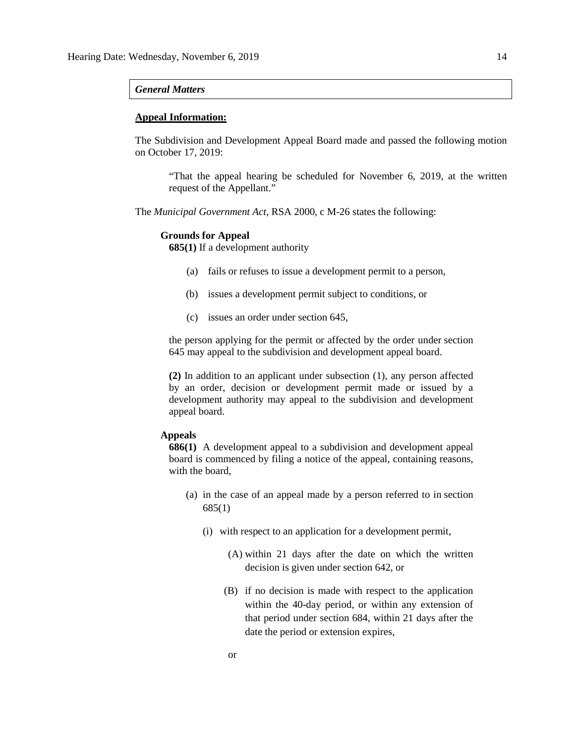#### *General Matters*

## **Appeal Information:**

The Subdivision and Development Appeal Board made and passed the following motion on October 17, 2019:

"That the appeal hearing be scheduled for November 6, 2019, at the written request of the Appellant."

The *Municipal Government Act*, RSA 2000, c M-26 states the following:

#### **Grounds for Appeal**

**685(1)** If a development authority

- (a) fails or refuses to issue a development permit to a person,
- (b) issues a development permit subject to conditions, or
- (c) issues an order under section 645,

the person applying for the permit or affected by the order under section 645 may appeal to the subdivision and development appeal board.

**(2)** In addition to an applicant under subsection (1), any person affected by an order, decision or development permit made or issued by a development authority may appeal to the subdivision and development appeal board.

## **Appeals**

**686(1)** A development appeal to a subdivision and development appeal board is commenced by filing a notice of the appeal, containing reasons, with the board,

- (a) in the case of an appeal made by a person referred to in section 685(1)
	- (i) with respect to an application for a development permit,
		- (A) within 21 days after the date on which the written decision is given under section 642, or
		- (B) if no decision is made with respect to the application within the 40-day period, or within any extension of that period under section 684, within 21 days after the date the period or extension expires,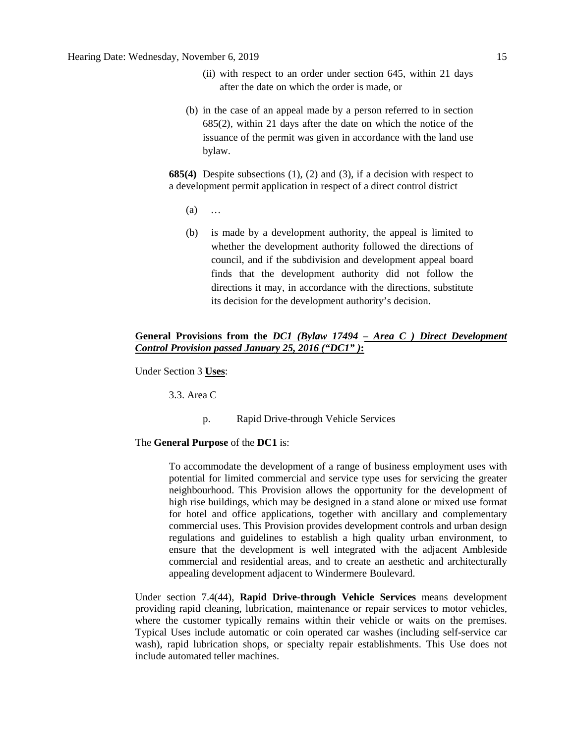- (ii) with respect to an order under section 645, within 21 days after the date on which the order is made, or
- (b) in the case of an appeal made by a person referred to in section 685(2), within 21 days after the date on which the notice of the issuance of the permit was given in accordance with the land use bylaw.

**685(4)** Despite subsections (1), (2) and (3), if a decision with respect to a development permit application in respect of a direct control district

- (a) …
- (b) is made by a development authority, the appeal is limited to whether the development authority followed the directions of council, and if the subdivision and development appeal board finds that the development authority did not follow the directions it may, in accordance with the directions, substitute its decision for the development authority's decision.

# **General Provisions from the** *DC1 (Bylaw 17494 – Area C ) Direct Development Control Provision passed January 25, 2016 ("DC1" )***:**

Under Section 3 **Uses**:

3.3. Area C

p. Rapid Drive-through Vehicle Services

#### The **General Purpose** of the **DC1** is:

To accommodate the development of a range of business employment uses with potential for limited commercial and service type uses for servicing the greater neighbourhood. This Provision allows the opportunity for the development of high rise buildings, which may be designed in a stand alone or mixed use format for hotel and office applications, together with ancillary and complementary commercial uses. This Provision provides development controls and urban design regulations and guidelines to establish a high quality urban environment, to ensure that the development is well integrated with the adjacent Ambleside commercial and residential areas, and to create an aesthetic and architecturally appealing development adjacent to Windermere Boulevard.

Under section 7.4(44), **Rapid Drive-through Vehicle Services** means development providing rapid cleaning, lubrication, maintenance or repair services to motor vehicles, where the customer typically remains within their vehicle or waits on the premises. Typical Uses include automatic or coin operated car washes (including self-service car wash), rapid lubrication shops, or specialty repair establishments. This Use does not include automated teller machines.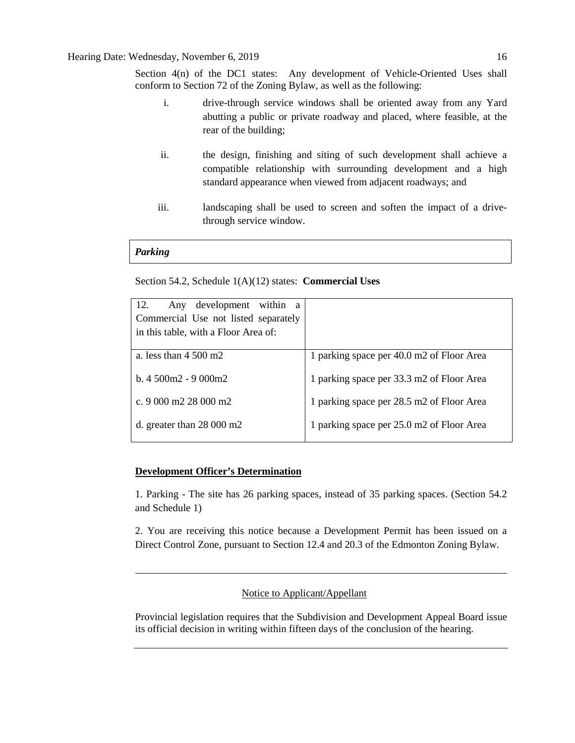Section 4(n) of the DC1 states: Any development of Vehicle-Oriented Uses shall conform to Section 72 of the Zoning Bylaw, as well as the following:

- i. drive-through service windows shall be oriented away from any Yard abutting a public or private roadway and placed, where feasible, at the rear of the building;
- ii. the design, finishing and siting of such development shall achieve a compatible relationship with surrounding development and a high standard appearance when viewed from adjacent roadways; and
- iii. landscaping shall be used to screen and soften the impact of a drivethrough service window.

# *Parking*

# Section 54.2, Schedule 1(A)(12) states: **Commercial Uses**

| 12.<br>Any development within<br><sub>a</sub><br>Commercial Use not listed separately<br>in this table, with a Floor Area of: |                                           |
|-------------------------------------------------------------------------------------------------------------------------------|-------------------------------------------|
| a. less than $4500 \text{ m}2$                                                                                                | 1 parking space per 40.0 m2 of Floor Area |
| b. $4.500m2 - 9.000m2$                                                                                                        | 1 parking space per 33.3 m2 of Floor Area |
| c. 9 000 m2 28 000 m2                                                                                                         | 1 parking space per 28.5 m2 of Floor Area |
| d. greater than $28\ 000\ \text{m}2$                                                                                          | 1 parking space per 25.0 m2 of Floor Area |

# **Development Officer's Determination**

1. Parking - The site has 26 parking spaces, instead of 35 parking spaces. (Section 54.2 and Schedule 1)

2. You are receiving this notice because a Development Permit has been issued on a Direct Control Zone, pursuant to Section 12.4 and 20.3 of the Edmonton Zoning Bylaw.

Notice to Applicant/Appellant

Provincial legislation requires that the Subdivision and Development Appeal Board issue its official decision in writing within fifteen days of the conclusion of the hearing.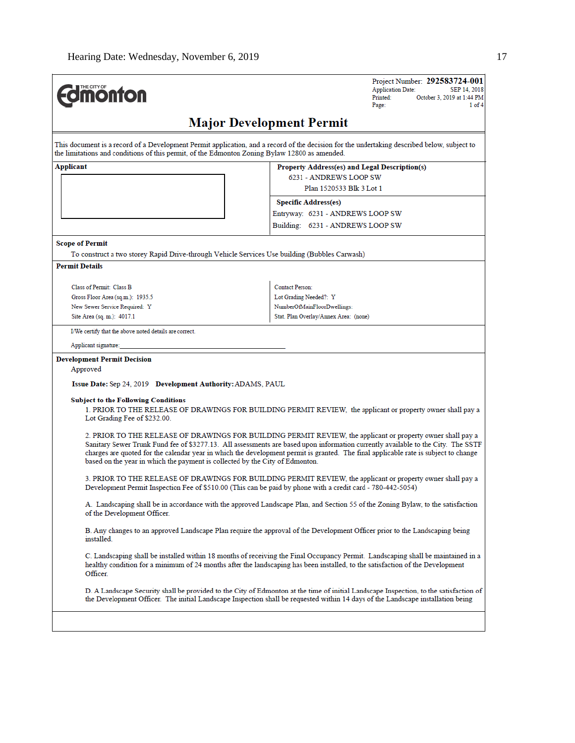| <b>dimonton</b>                                                                               | Project Number: 292583724-001<br><b>Application Date:</b><br>SEP 14, 2018<br>October 3, 2019 at 1:44 PM<br>Printed:<br>Page:<br>$1$ of $4$                                                                                                                                                                                                                                             |
|-----------------------------------------------------------------------------------------------|----------------------------------------------------------------------------------------------------------------------------------------------------------------------------------------------------------------------------------------------------------------------------------------------------------------------------------------------------------------------------------------|
|                                                                                               | <b>Major Development Permit</b>                                                                                                                                                                                                                                                                                                                                                        |
| the limitations and conditions of this permit, of the Edmonton Zoning Bylaw 12800 as amended. | This document is a record of a Development Permit application, and a record of the decision for the undertaking described below, subject to                                                                                                                                                                                                                                            |
| Applicant                                                                                     | Property Address(es) and Legal Description(s)                                                                                                                                                                                                                                                                                                                                          |
|                                                                                               | 6231 - ANDREWS LOOP SW                                                                                                                                                                                                                                                                                                                                                                 |
|                                                                                               | Plan 1520533 Blk 3 Lot 1                                                                                                                                                                                                                                                                                                                                                               |
|                                                                                               | <b>Specific Address(es)</b>                                                                                                                                                                                                                                                                                                                                                            |
|                                                                                               | Entryway: 6231 - ANDREWS LOOP SW                                                                                                                                                                                                                                                                                                                                                       |
|                                                                                               | Building: 6231 - ANDREWS LOOP SW                                                                                                                                                                                                                                                                                                                                                       |
| <b>Scope of Permit</b>                                                                        |                                                                                                                                                                                                                                                                                                                                                                                        |
| To construct a two storey Rapid Drive-through Vehicle Services Use building (Bubbles Carwash) |                                                                                                                                                                                                                                                                                                                                                                                        |
| <b>Permit Details</b>                                                                         |                                                                                                                                                                                                                                                                                                                                                                                        |
|                                                                                               |                                                                                                                                                                                                                                                                                                                                                                                        |
| Class of Permit: Class B                                                                      | Contact Person:                                                                                                                                                                                                                                                                                                                                                                        |
| Gross Floor Area (sq.m.): 1935.5<br>New Sewer Service Required: Y                             | Lot Grading Needed?: Y<br>NumberOfMainFloorDwellings:                                                                                                                                                                                                                                                                                                                                  |
| Site Area (sq. m.): 4017.1                                                                    | Stat. Plan Overlay/Annex Area: (none)                                                                                                                                                                                                                                                                                                                                                  |
| I/We certify that the above noted details are correct.                                        |                                                                                                                                                                                                                                                                                                                                                                                        |
| Applicant signature:                                                                          |                                                                                                                                                                                                                                                                                                                                                                                        |
|                                                                                               |                                                                                                                                                                                                                                                                                                                                                                                        |
| <b>Development Permit Decision</b><br>Approved                                                |                                                                                                                                                                                                                                                                                                                                                                                        |
| <b>Issue Date:</b> Sep 24, 2019 Development Authority: ADAMS, PAUL                            |                                                                                                                                                                                                                                                                                                                                                                                        |
|                                                                                               |                                                                                                                                                                                                                                                                                                                                                                                        |
| <b>Subject to the Following Conditions</b><br>Lot Grading Fee of \$232.00.                    | 1. PRIOR TO THE RELEASE OF DRAWINGS FOR BUILDING PERMIT REVIEW, the applicant or property owner shall pay a                                                                                                                                                                                                                                                                            |
| based on the year in which the payment is collected by the City of Edmonton.                  | 2. PRIOR TO THE RELEASE OF DRAWINGS FOR BUILDING PERMIT REVIEW, the applicant or property owner shall pay a<br>Sanitary Sewer Trunk Fund fee of \$3277.13. All assessments are based upon information currently available to the City. The SSTF<br>charges are quoted for the calendar year in which the development permit is granted. The final applicable rate is subject to change |
|                                                                                               | 3. PRIOR TO THE RELEASE OF DRAWINGS FOR BUILDING PERMIT REVIEW, the applicant or property owner shall pay a<br>Development Permit Inspection Fee of \$510.00 (This can be paid by phone with a credit card - 780-442-5054)                                                                                                                                                             |
| of the Development Officer.                                                                   | A. Landscaping shall be in accordance with the approved Landscape Plan, and Section 55 of the Zoning Bylaw, to the satisfaction                                                                                                                                                                                                                                                        |
| installed.                                                                                    | B. Any changes to an approved Landscape Plan require the approval of the Development Officer prior to the Landscaping being                                                                                                                                                                                                                                                            |
| Officer.                                                                                      | C. Landscaping shall be installed within 18 months of receiving the Final Occupancy Permit. Landscaping shall be maintained in a<br>healthy condition for a minimum of 24 months after the landscaping has been installed, to the satisfaction of the Development                                                                                                                      |
|                                                                                               | D. A Landscape Security shall be provided to the City of Edmonton at the time of initial Landscape Inspection, to the satisfaction of<br>the Development Officer. The initial Landscape Inspection shall be requested within 14 days of the Landscape installation being                                                                                                               |
|                                                                                               |                                                                                                                                                                                                                                                                                                                                                                                        |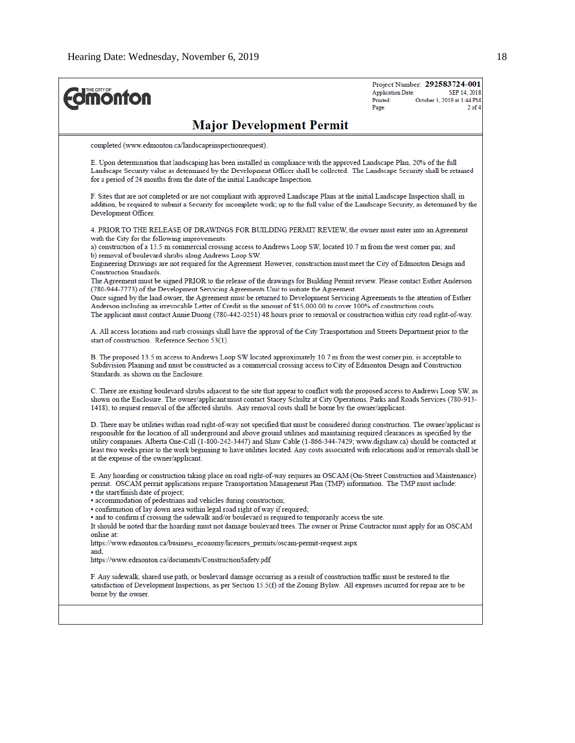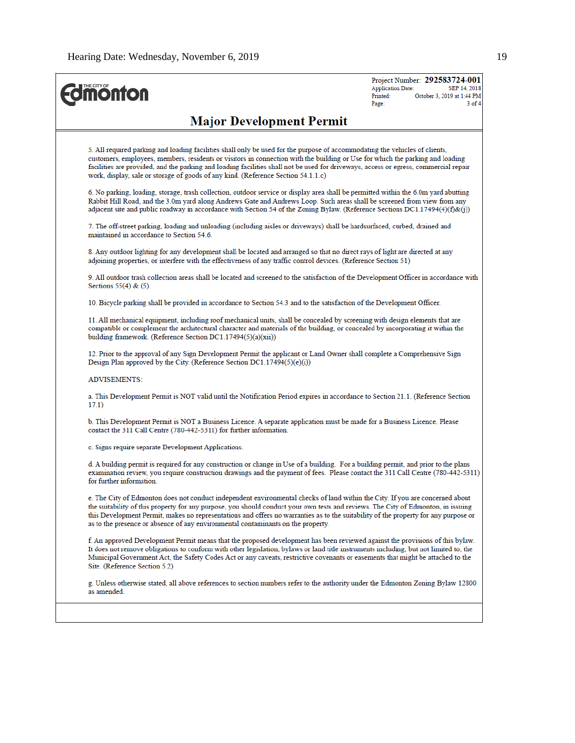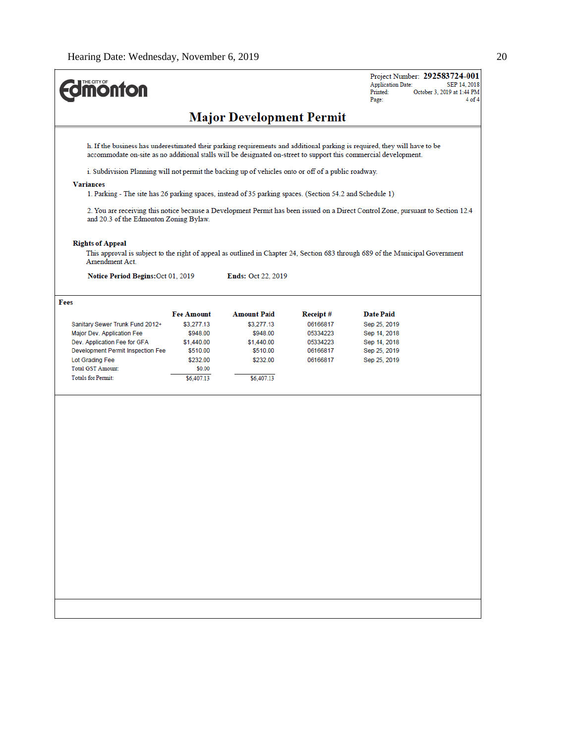| <b>monton</b>                                                                                                    |                        |                                 |                      | Project Number: 292583724-001<br><b>Application Date:</b><br>SEP 14, 2018<br>Printed:<br>October 3, 2019 at 1:44 PM<br>Page:     |
|------------------------------------------------------------------------------------------------------------------|------------------------|---------------------------------|----------------------|----------------------------------------------------------------------------------------------------------------------------------|
|                                                                                                                  |                        | <b>Major Development Permit</b> |                      |                                                                                                                                  |
| accommodate on-site as no additional stalls will be designated on-street to support this commercial development. |                        |                                 |                      | h. If the business has underestimated their parking requirements and additional parking is required, they will have to be        |
| i. Subdivision Planning will not permit the backing up of vehicles onto or off of a public roadway.              |                        |                                 |                      |                                                                                                                                  |
| <b>Variances</b>                                                                                                 |                        |                                 |                      |                                                                                                                                  |
| 1. Parking - The site has 26 parking spaces, instead of 35 parking spaces. (Section 54.2 and Schedule 1)         |                        |                                 |                      |                                                                                                                                  |
| and 20.3 of the Edmonton Zoning Bylaw.                                                                           |                        |                                 |                      | 2. You are receiving this notice because a Development Permit has been issued on a Direct Control Zone, pursuant to Section 12.4 |
| <b>Rights of Appeal</b>                                                                                          |                        |                                 |                      | This approval is subject to the right of appeal as outlined in Chapter 24, Section 683 through 689 of the Municipal Government   |
| Amendment Act.                                                                                                   |                        |                                 |                      |                                                                                                                                  |
| Notice Period Begins: Oct 01, 2019                                                                               |                        | <b>Ends: Oct 22, 2019</b>       |                      |                                                                                                                                  |
| Fees                                                                                                             |                        |                                 |                      |                                                                                                                                  |
|                                                                                                                  | <b>Fee Amount</b>      | <b>Amount Paid</b>              | Receipt#             | Date Paid                                                                                                                        |
| Sanitary Sewer Trunk Fund 2012+                                                                                  | \$3,277.13             | \$3,277.13                      | 06166817             | Sep 25, 2019                                                                                                                     |
| Major Dev. Application Fee<br>Dev. Application Fee for GFA                                                       | \$948.00               | \$948.00                        | 05334223<br>05334223 | Sep 14, 2018                                                                                                                     |
| Development Permit Inspection Fee                                                                                | \$1,440.00<br>\$510.00 | \$1,440.00<br>\$510.00          | 06166817             | Sep 14, 2018<br>Sep 25, 2019                                                                                                     |
| Lot Grading Fee                                                                                                  | \$232.00               | \$232.00                        | 06166817             | Sep 25, 2019                                                                                                                     |
| <b>Total GST Amount:</b>                                                                                         | \$0.00                 |                                 |                      |                                                                                                                                  |
| <b>Totals for Permit:</b>                                                                                        | \$6,407.13             | \$6,407.13                      |                      |                                                                                                                                  |
|                                                                                                                  |                        |                                 |                      |                                                                                                                                  |
|                                                                                                                  |                        |                                 |                      |                                                                                                                                  |
|                                                                                                                  |                        |                                 |                      |                                                                                                                                  |